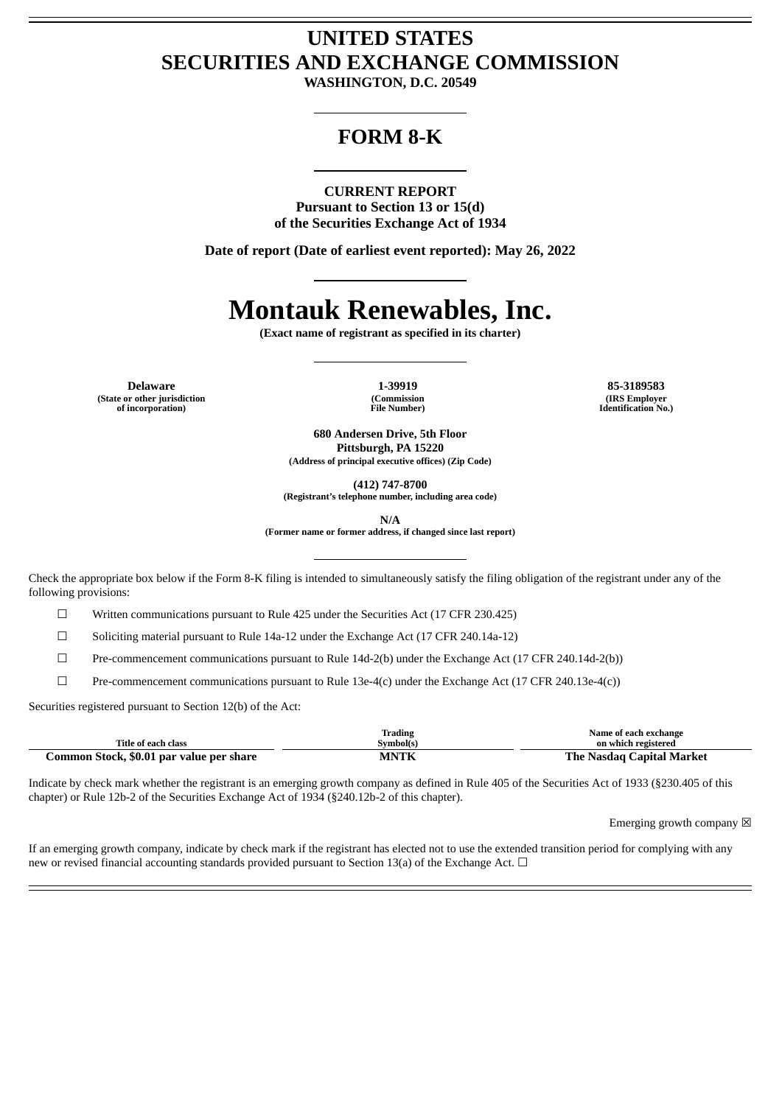# **UNITED STATES SECURITIES AND EXCHANGE COMMISSION**

**WASHINGTON, D.C. 20549**

# **FORM 8-K**

#### **CURRENT REPORT**

**Pursuant to Section 13 or 15(d) of the Securities Exchange Act of 1934**

**Date of report (Date of earliest event reported): May 26, 2022**

# **Montauk Renewables, Inc.**

**(Exact name of registrant as specified in its charter)**

**Delaware 1-39919 85-3189583 (State or other jurisdiction of incorporation)**

**(Commission File Number)**

**(IRS Employer Identification No.)**

**680 Andersen Drive, 5th Floor Pittsburgh, PA 15220 (Address of principal executive offices) (Zip Code)**

**(412) 747-8700**

**(Registrant's telephone number, including area code)**

**N/A**

**(Former name or former address, if changed since last report)**

Check the appropriate box below if the Form 8-K filing is intended to simultaneously satisfy the filing obligation of the registrant under any of the following provisions:

 $\Box$  Written communications pursuant to Rule 425 under the Securities Act (17 CFR 230.425)

 $\Box$  Soliciting material pursuant to Rule 14a-12 under the Exchange Act (17 CFR 240.14a-12)

 $\Box$  Pre-commencement communications pursuant to Rule 14d-2(b) under the Exchange Act (17 CFR 240.14d-2(b))

 $\Box$  Pre-commencement communications pursuant to Rule 13e-4(c) under the Exchange Act (17 CFR 240.13e-4(c))

Securities registered pursuant to Section 12(b) of the Act:

|                                          | Trading     | Name of each exchange     |
|------------------------------------------|-------------|---------------------------|
| Title of each class                      | Symbol(s)   | on which registered       |
| Common Stock, \$0.01 par value per share | <b>MNTK</b> | The Nasdag Capital Market |

Indicate by check mark whether the registrant is an emerging growth company as defined in Rule 405 of the Securities Act of 1933 (§230.405 of this chapter) or Rule 12b-2 of the Securities Exchange Act of 1934 (§240.12b-2 of this chapter).

Emerging growth company  $\boxtimes$ 

If an emerging growth company, indicate by check mark if the registrant has elected not to use the extended transition period for complying with any new or revised financial accounting standards provided pursuant to Section 13(a) of the Exchange Act.  $\Box$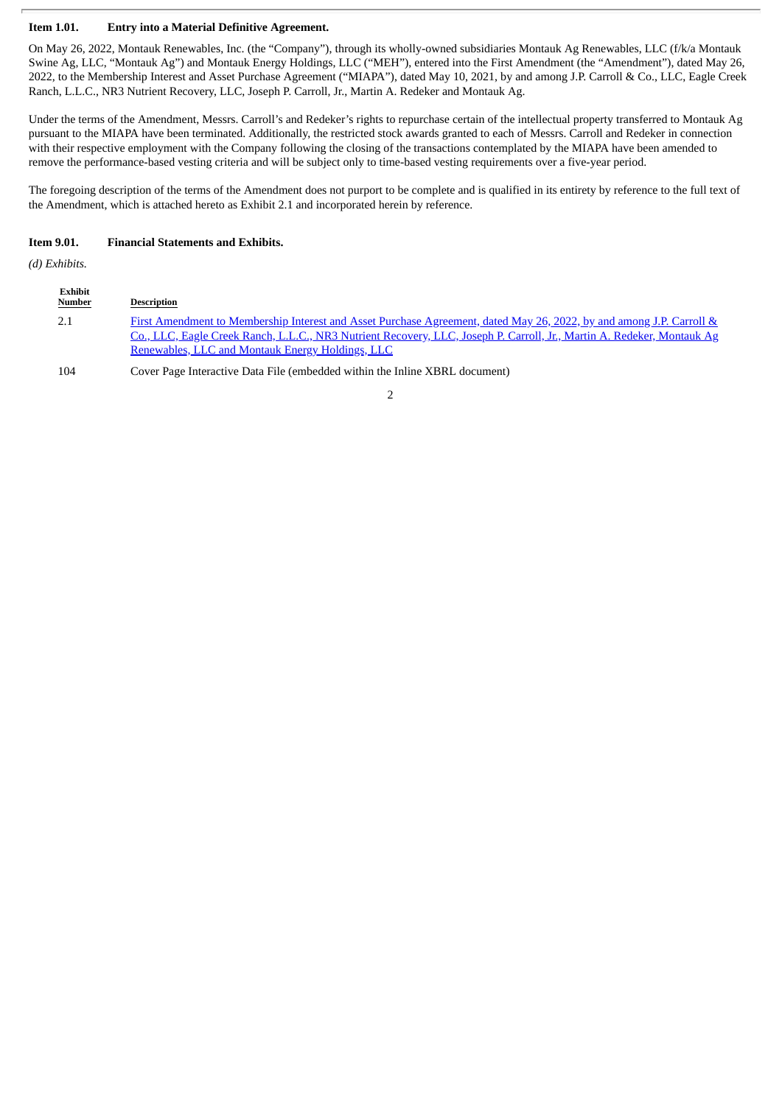#### **Item 1.01. Entry into a Material Definitive Agreement.**

On May 26, 2022, Montauk Renewables, Inc. (the "Company"), through its wholly-owned subsidiaries Montauk Ag Renewables, LLC (f/k/a Montauk Swine Ag, LLC, "Montauk Ag") and Montauk Energy Holdings, LLC ("MEH"), entered into the First Amendment (the "Amendment"), dated May 26, 2022, to the Membership Interest and Asset Purchase Agreement ("MIAPA"), dated May 10, 2021, by and among J.P. Carroll & Co., LLC, Eagle Creek Ranch, L.L.C., NR3 Nutrient Recovery, LLC, Joseph P. Carroll, Jr., Martin A. Redeker and Montauk Ag.

Under the terms of the Amendment, Messrs. Carroll's and Redeker's rights to repurchase certain of the intellectual property transferred to Montauk Ag pursuant to the MIAPA have been terminated. Additionally, the restricted stock awards granted to each of Messrs. Carroll and Redeker in connection with their respective employment with the Company following the closing of the transactions contemplated by the MIAPA have been amended to remove the performance-based vesting criteria and will be subject only to time-based vesting requirements over a five-year period.

The foregoing description of the terms of the Amendment does not purport to be complete and is qualified in its entirety by reference to the full text of the Amendment, which is attached hereto as Exhibit 2.1 and incorporated herein by reference.

#### **Item 9.01. Financial Statements and Exhibits.**

*(d) Exhibits.*

| Exhibit<br><b>Number</b> | <b>Description</b>                                                                                                                                                                                                                                                                                 |
|--------------------------|----------------------------------------------------------------------------------------------------------------------------------------------------------------------------------------------------------------------------------------------------------------------------------------------------|
| 2.1                      | First Amendment to Membership Interest and Asset Purchase Agreement, dated May 26, 2022, by and among J.P. Carroll &<br>Co., LLC, Eagle Creek Ranch, L.L.C., NR3 Nutrient Recovery, LLC, Joseph P. Carroll, Jr., Martin A. Redeker, Montauk Ag<br>Renewables, LLC and Montauk Energy Holdings, LLC |
| 104                      | Cover Page Interactive Data File (embedded within the Inline XBRL document)                                                                                                                                                                                                                        |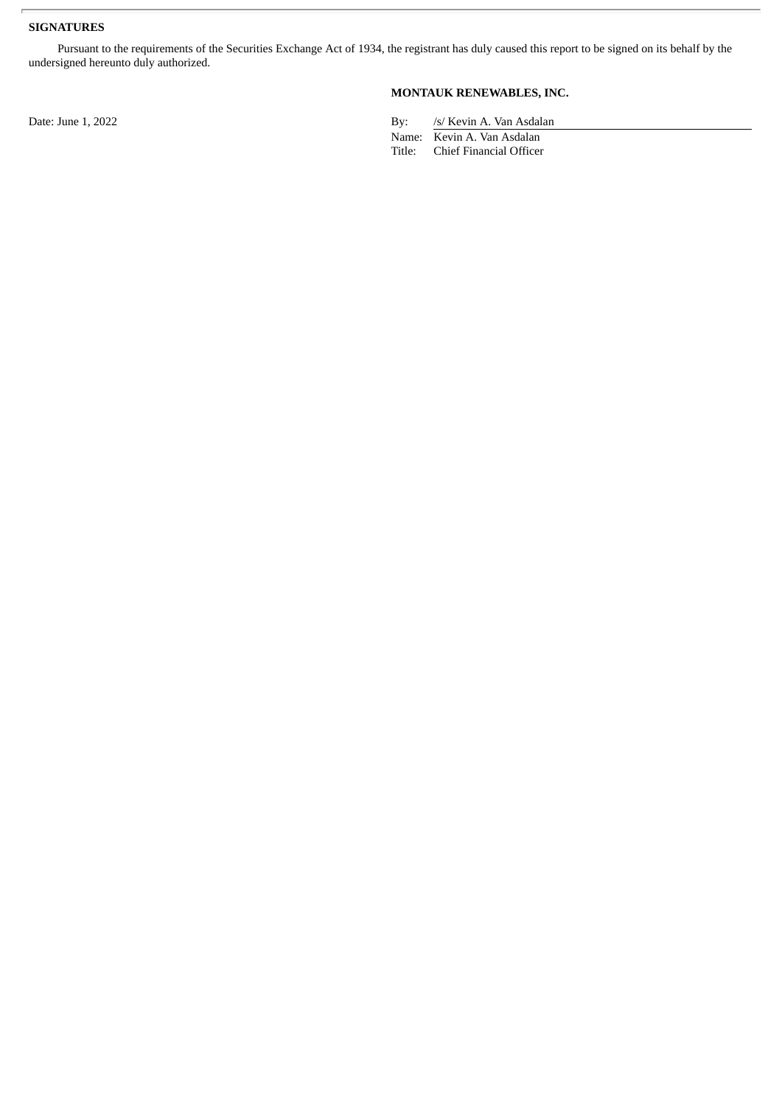# **SIGNATURES**

Pursuant to the requirements of the Securities Exchange Act of 1934, the registrant has duly caused this report to be signed on its behalf by the undersigned hereunto duly authorized.

## **MONTAUK RENEWABLES, INC.**

Date: June 1, 2022 By: /s/ Kevin A. Van Asdalan

Name: Kevin A. Van Asdalan Title: Chief Financial Officer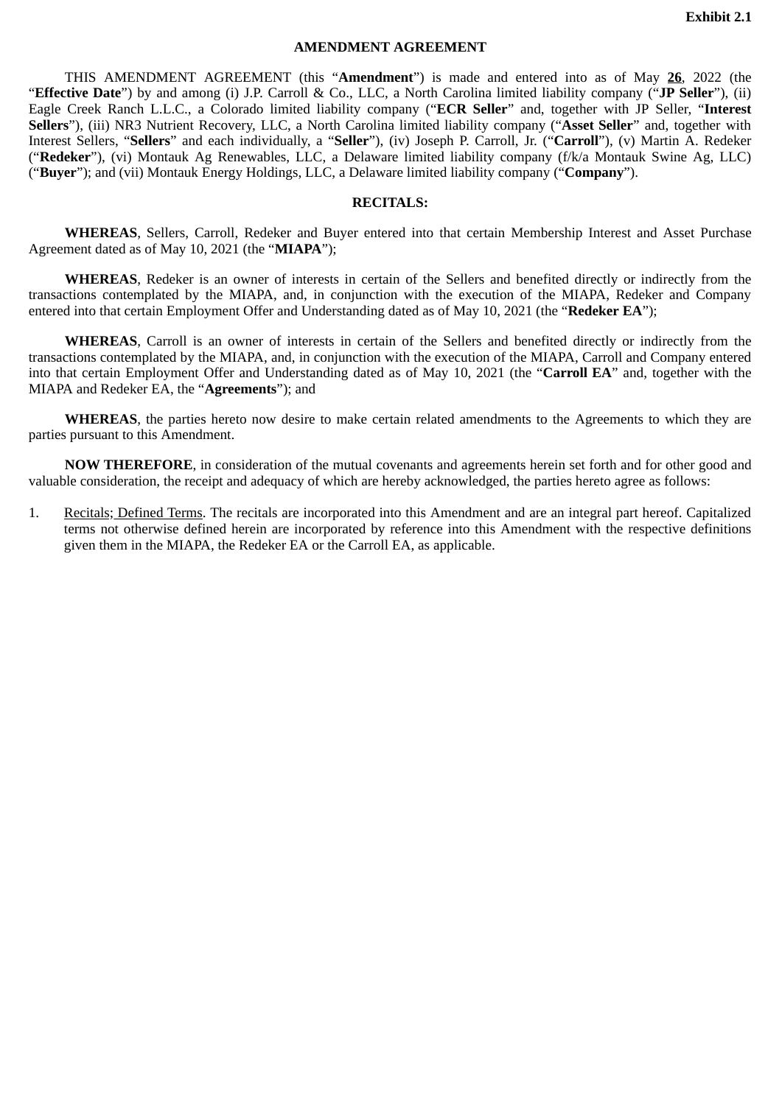#### **AMENDMENT AGREEMENT**

<span id="page-3-0"></span>THIS AMENDMENT AGREEMENT (this "**Amendment**") is made and entered into as of May **26**, 2022 (the "**Effective Date**") by and among (i) J.P. Carroll & Co., LLC, a North Carolina limited liability company ("**JP Seller**"), (ii) Eagle Creek Ranch L.L.C., a Colorado limited liability company ("**ECR Seller**" and, together with JP Seller, "**Interest Sellers**"), (iii) NR3 Nutrient Recovery, LLC, a North Carolina limited liability company ("**Asset Seller**" and, together with Interest Sellers, "**Sellers**" and each individually, a "**Seller**"), (iv) Joseph P. Carroll, Jr. ("**Carroll**"), (v) Martin A. Redeker ("**Redeker**"), (vi) Montauk Ag Renewables, LLC, a Delaware limited liability company (f/k/a Montauk Swine Ag, LLC) ("**Buyer**"); and (vii) Montauk Energy Holdings, LLC, a Delaware limited liability company ("**Company**").

#### **RECITALS:**

**WHEREAS**, Sellers, Carroll, Redeker and Buyer entered into that certain Membership Interest and Asset Purchase Agreement dated as of May 10, 2021 (the "**MIAPA**");

**WHEREAS**, Redeker is an owner of interests in certain of the Sellers and benefited directly or indirectly from the transactions contemplated by the MIAPA, and, in conjunction with the execution of the MIAPA, Redeker and Company entered into that certain Employment Offer and Understanding dated as of May 10, 2021 (the "**Redeker EA**");

**WHEREAS**, Carroll is an owner of interests in certain of the Sellers and benefited directly or indirectly from the transactions contemplated by the MIAPA, and, in conjunction with the execution of the MIAPA, Carroll and Company entered into that certain Employment Offer and Understanding dated as of May 10, 2021 (the "**Carroll EA**" and, together with the MIAPA and Redeker EA, the "**Agreements**"); and

**WHEREAS**, the parties hereto now desire to make certain related amendments to the Agreements to which they are parties pursuant to this Amendment.

**NOW THEREFORE**, in consideration of the mutual covenants and agreements herein set forth and for other good and valuable consideration, the receipt and adequacy of which are hereby acknowledged, the parties hereto agree as follows:

1. Recitals; Defined Terms. The recitals are incorporated into this Amendment and are an integral part hereof. Capitalized terms not otherwise defined herein are incorporated by reference into this Amendment with the respective definitions given them in the MIAPA, the Redeker EA or the Carroll EA, as applicable.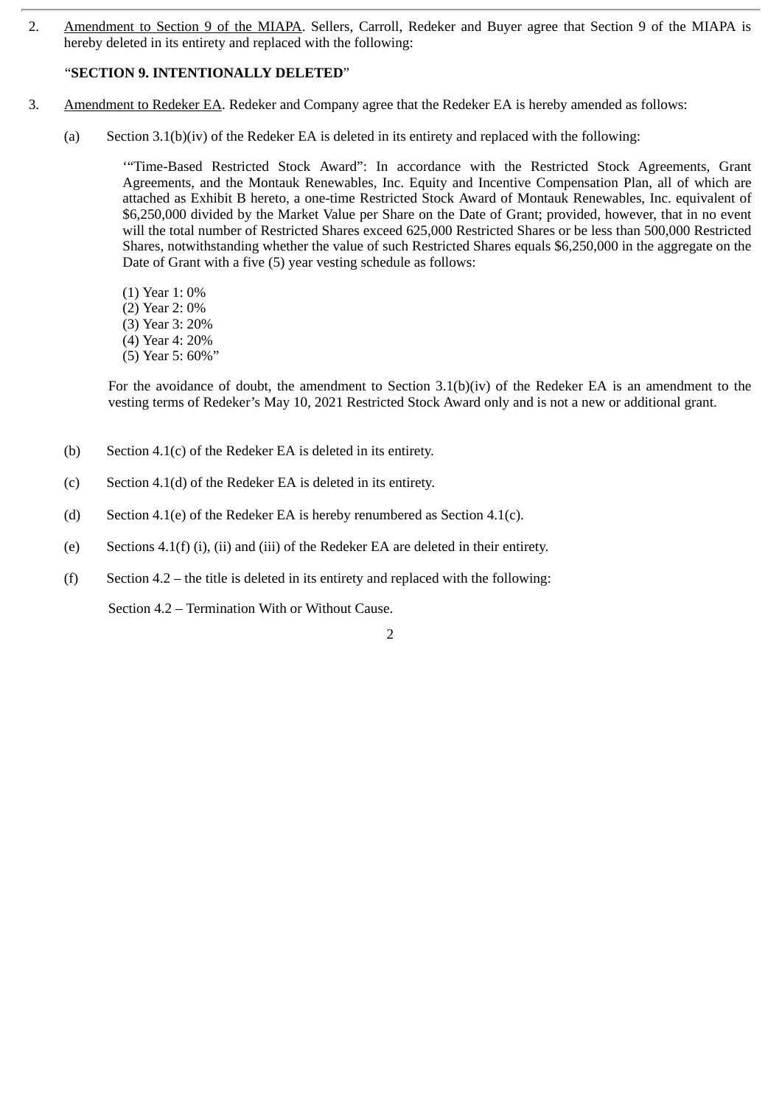2. Amendment to Section 9 of the MIAPA. Sellers, Carroll, Redeker and Buyer agree that Section 9 of the MIAPA is hereby deleted in its entirety and replaced with the following:

# "**SECTION 9. INTENTIONALLY DELETED**"

- 3. Amendment to Redeker EA. Redeker and Company agree that the Redeker EA is hereby amended as follows:
	- (a) Section 3.1(b)(iv) of the Redeker EA is deleted in its entirety and replaced with the following:

'"Time-Based Restricted Stock Award": In accordance with the Restricted Stock Agreements, Grant Agreements, and the Montauk Renewables, Inc. Equity and Incentive Compensation Plan, all of which are attached as Exhibit B hereto, a one-time Restricted Stock Award of Montauk Renewables, Inc. equivalent of \$6,250,000 divided by the Market Value per Share on the Date of Grant; provided, however, that in no event will the total number of Restricted Shares exceed 625,000 Restricted Shares or be less than 500,000 Restricted Shares, notwithstanding whether the value of such Restricted Shares equals \$6,250,000 in the aggregate on the Date of Grant with a five (5) year vesting schedule as follows:

- (1) Year 1: 0%
- (2) Year 2: 0%
- (3) Year 3: 20%
- (4) Year 4: 20%
- (5) Year 5: 60%"

For the avoidance of doubt, the amendment to Section 3.1(b)(iv) of the Redeker EA is an amendment to the vesting terms of Redeker's May 10, 2021 Restricted Stock Award only and is not a new or additional grant.

2

- (b) Section 4.1(c) of the Redeker EA is deleted in its entirety.
- (c) Section 4.1(d) of the Redeker EA is deleted in its entirety.
- (d) Section 4.1(e) of the Redeker EA is hereby renumbered as Section 4.1(c).
- (e) Sections 4.1(f) (i), (ii) and (iii) of the Redeker EA are deleted in their entirety.
- (f) Section 4.2 the title is deleted in its entirety and replaced with the following:

Section 4.2 – Termination With or Without Cause.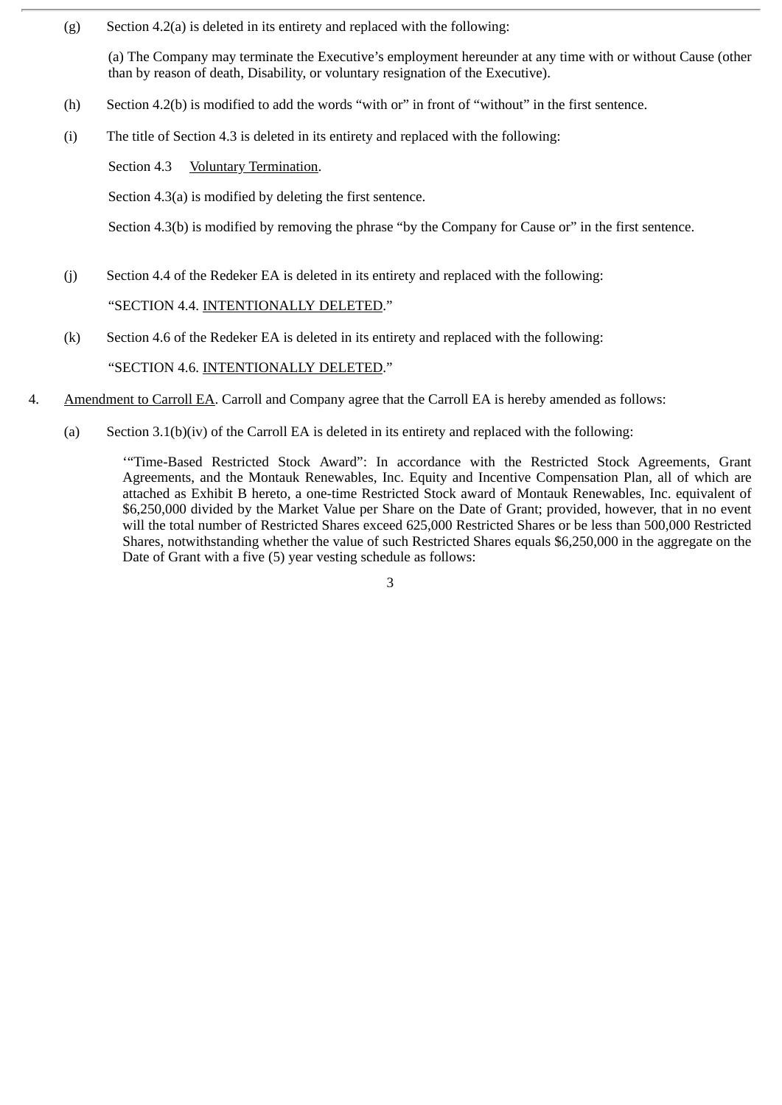(g) Section 4.2(a) is deleted in its entirety and replaced with the following:

(a) The Company may terminate the Executive's employment hereunder at any time with or without Cause (other than by reason of death, Disability, or voluntary resignation of the Executive).

- (h) Section 4.2(b) is modified to add the words "with or" in front of "without" in the first sentence.
- (i) The title of Section 4.3 is deleted in its entirety and replaced with the following:

Section 4.3 Voluntary Termination.

Section 4.3(a) is modified by deleting the first sentence.

Section 4.3(b) is modified by removing the phrase "by the Company for Cause or" in the first sentence.

- (j) Section 4.4 of the Redeker EA is deleted in its entirety and replaced with the following: "SECTION 4.4. INTENTIONALLY DELETED."
- (k) Section 4.6 of the Redeker EA is deleted in its entirety and replaced with the following: "SECTION 4.6. INTENTIONALLY DELETED."
- 4. Amendment to Carroll EA. Carroll and Company agree that the Carroll EA is hereby amended as follows:
	- (a) Section 3.1(b)(iv) of the Carroll EA is deleted in its entirety and replaced with the following:

'"Time-Based Restricted Stock Award": In accordance with the Restricted Stock Agreements, Grant Agreements, and the Montauk Renewables, Inc. Equity and Incentive Compensation Plan, all of which are attached as Exhibit B hereto, a one-time Restricted Stock award of Montauk Renewables, Inc. equivalent of \$6,250,000 divided by the Market Value per Share on the Date of Grant; provided, however, that in no event will the total number of Restricted Shares exceed 625,000 Restricted Shares or be less than 500,000 Restricted Shares, notwithstanding whether the value of such Restricted Shares equals \$6,250,000 in the aggregate on the Date of Grant with a five (5) year vesting schedule as follows: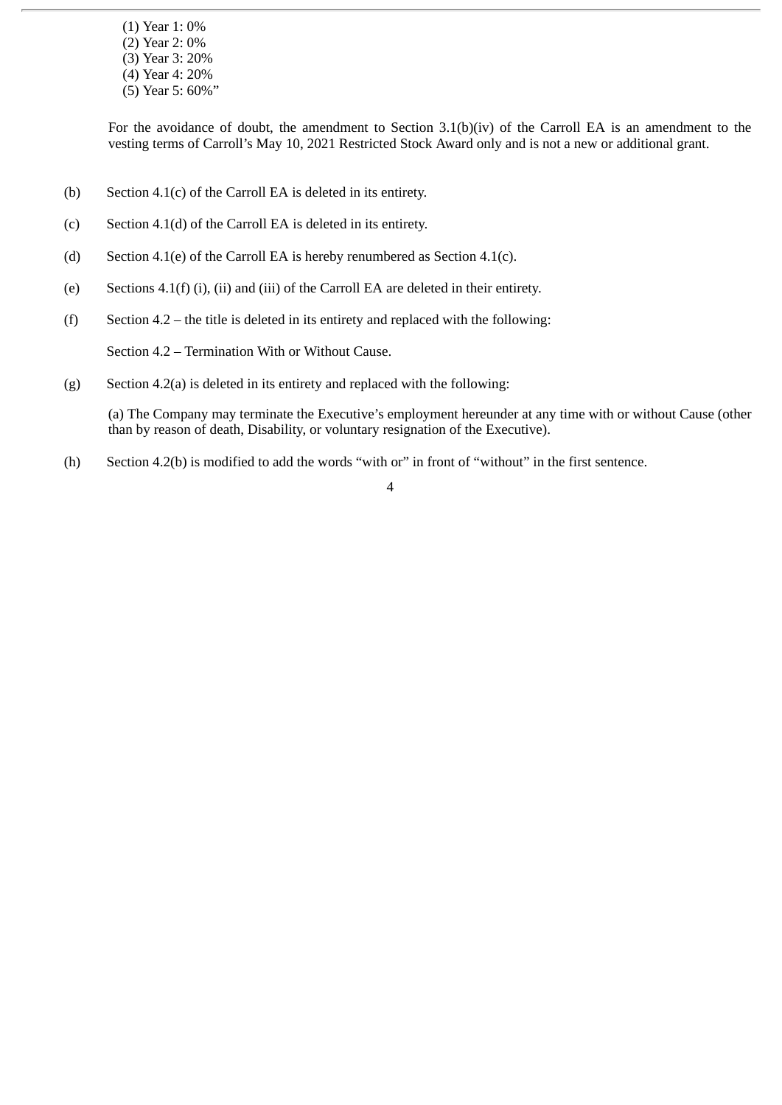- (1) Year 1: 0%
- (2) Year 2: 0%
- (3) Year 3: 20%
- (4) Year 4: 20%
- (5) Year 5: 60%"

For the avoidance of doubt, the amendment to Section 3.1(b)(iv) of the Carroll EA is an amendment to the vesting terms of Carroll's May 10, 2021 Restricted Stock Award only and is not a new or additional grant.

- (b) Section 4.1(c) of the Carroll EA is deleted in its entirety.
- (c) Section 4.1(d) of the Carroll EA is deleted in its entirety.
- (d) Section 4.1(e) of the Carroll EA is hereby renumbered as Section 4.1(c).
- (e) Sections 4.1(f) (i), (ii) and (iii) of the Carroll EA are deleted in their entirety.
- (f) Section 4.2 the title is deleted in its entirety and replaced with the following:

Section 4.2 – Termination With or Without Cause.

(g) Section 4.2(a) is deleted in its entirety and replaced with the following:

(a) The Company may terminate the Executive's employment hereunder at any time with or without Cause (other than by reason of death, Disability, or voluntary resignation of the Executive).

(h) Section 4.2(b) is modified to add the words "with or" in front of "without" in the first sentence.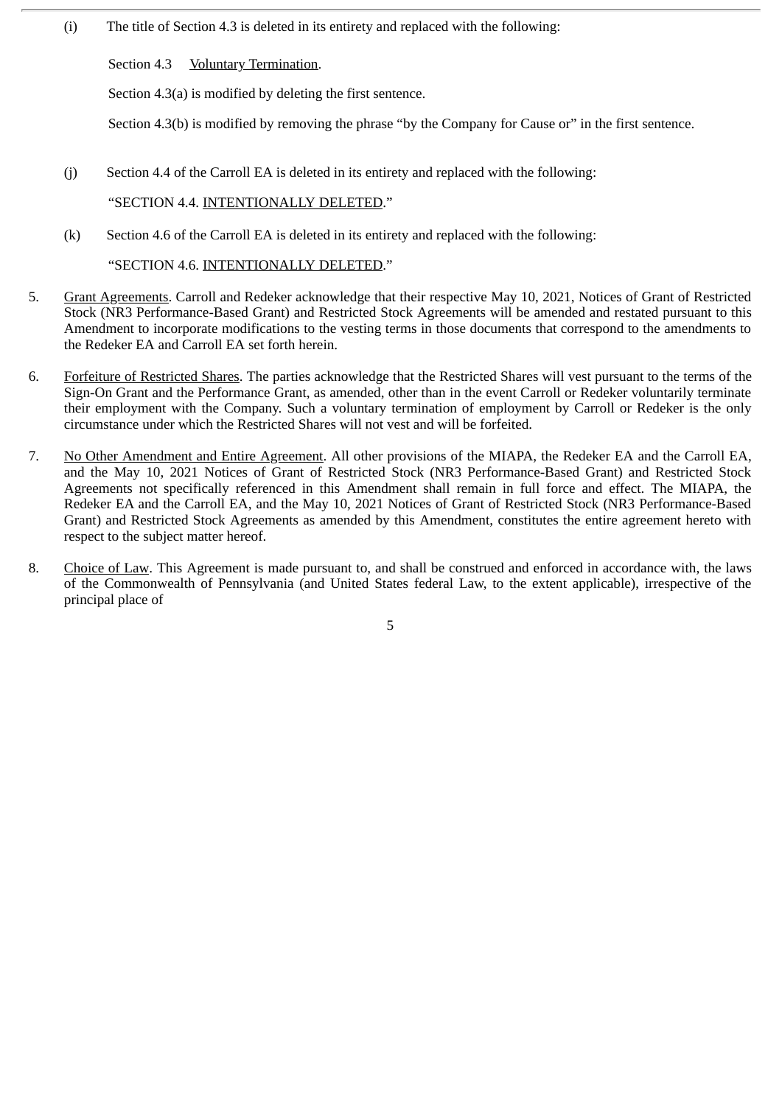(i) The title of Section 4.3 is deleted in its entirety and replaced with the following:

Section 4.3 <u>Voluntary Termination</u>.

Section 4.3(a) is modified by deleting the first sentence.

Section 4.3(b) is modified by removing the phrase "by the Company for Cause or" in the first sentence.

(j) Section 4.4 of the Carroll EA is deleted in its entirety and replaced with the following:

"SECTION 4.4. INTENTIONALLY DELETED."

(k) Section 4.6 of the Carroll EA is deleted in its entirety and replaced with the following:

"SECTION 4.6. INTENTIONALLY DELETED."

- 5. Grant Agreements. Carroll and Redeker acknowledge that their respective May 10, 2021, Notices of Grant of Restricted Stock (NR3 Performance-Based Grant) and Restricted Stock Agreements will be amended and restated pursuant to this Amendment to incorporate modifications to the vesting terms in those documents that correspond to the amendments to the Redeker EA and Carroll EA set forth herein.
- 6. Forfeiture of Restricted Shares. The parties acknowledge that the Restricted Shares will vest pursuant to the terms of the Sign-On Grant and the Performance Grant, as amended, other than in the event Carroll or Redeker voluntarily terminate their employment with the Company. Such a voluntary termination of employment by Carroll or Redeker is the only circumstance under which the Restricted Shares will not vest and will be forfeited.
- 7. No Other Amendment and Entire Agreement. All other provisions of the MIAPA, the Redeker EA and the Carroll EA, and the May 10, 2021 Notices of Grant of Restricted Stock (NR3 Performance-Based Grant) and Restricted Stock Agreements not specifically referenced in this Amendment shall remain in full force and effect. The MIAPA, the Redeker EA and the Carroll EA, and the May 10, 2021 Notices of Grant of Restricted Stock (NR3 Performance-Based Grant) and Restricted Stock Agreements as amended by this Amendment, constitutes the entire agreement hereto with respect to the subject matter hereof.
- 8. Choice of Law. This Agreement is made pursuant to, and shall be construed and enforced in accordance with, the laws of the Commonwealth of Pennsylvania (and United States federal Law, to the extent applicable), irrespective of the principal place of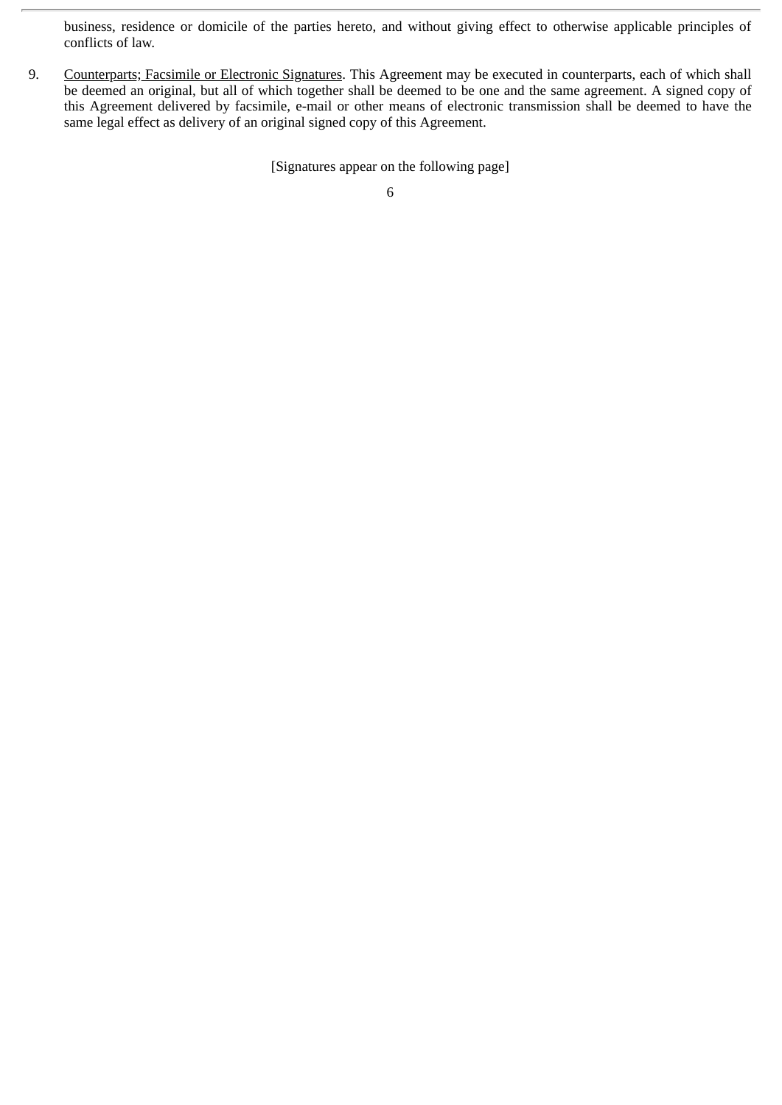business, residence or domicile of the parties hereto, and without giving effect to otherwise applicable principles of conflicts of law.

9. Counterparts; Facsimile or Electronic Signatures. This Agreement may be executed in counterparts, each of which shall be deemed an original, but all of which together shall be deemed to be one and the same agreement. A signed copy of this Agreement delivered by facsimile, e-mail or other means of electronic transmission shall be deemed to have the same legal effect as delivery of an original signed copy of this Agreement.

[Signatures appear on the following page]